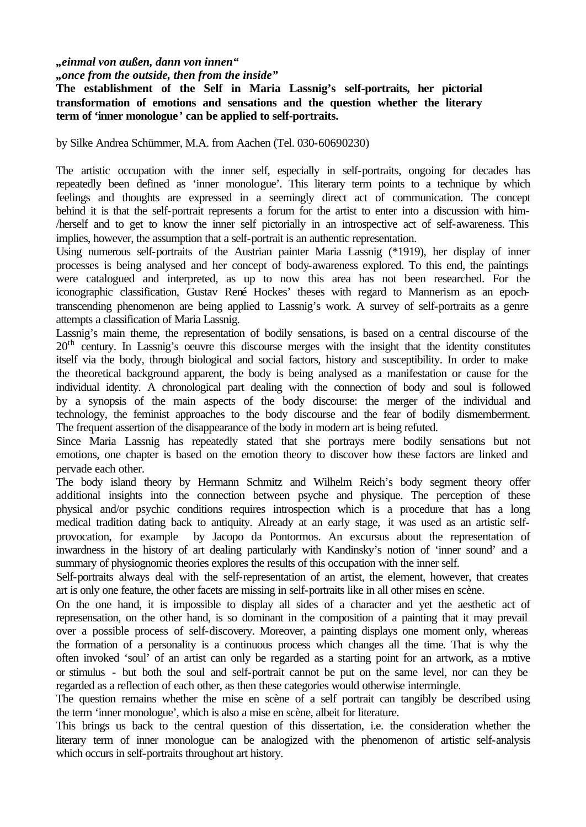*"einmal von außen, dann von innen"*

*"once from the outside, then from the inside"*

**The establishment of the Self in Maria Lassnig's self-portraits, her pictorial transformation of emotions and sensations and the question whether the literary term of 'inner monologue' can be applied to self-portraits.**

by Silke Andrea Schümmer, M.A. from Aachen (Tel. 030-60690230)

The artistic occupation with the inner self, especially in self-portraits, ongoing for decades has repeatedly been defined as 'inner monologue'. This literary term points to a technique by which feelings and thoughts are expressed in a seemingly direct act of communication. The concept behind it is that the self-portrait represents a forum for the artist to enter into a discussion with him- /herself and to get to know the inner self pictorially in an introspective act of self-awareness. This implies, however, the assumption that a self-portrait is an authentic representation.

Using numerous self-portraits of the Austrian painter Maria Lassnig (\*1919), her display of inner processes is being analysed and her concept of body-awareness explored. To this end, the paintings were catalogued and interpreted, as up to now this area has not been researched. For the iconographic classification, Gustav René Hockes' theses with regard to Mannerism as an epochtranscending phenomenon are being applied to Lassnig's work. A survey of self-portraits as a genre attempts a classification of Maria Lassnig.

Lassnig's main theme, the representation of bodily sensations, is based on a central discourse of the  $20<sup>th</sup>$  century. In Lassnig's oeuvre this discourse merges with the insight that the identity constitutes itself via the body, through biological and social factors, history and susceptibility. In order to make the theoretical background apparent, the body is being analysed as a manifestation or cause for the individual identity. A chronological part dealing with the connection of body and soul is followed by a synopsis of the main aspects of the body discourse: the merger of the individual and technology, the feminist approaches to the body discourse and the fear of bodily dismemberment. The frequent assertion of the disappearance of the body in modern art is being refuted.

Since Maria Lassnig has repeatedly stated that she portrays mere bodily sensations but not emotions, one chapter is based on the emotion theory to discover how these factors are linked and pervade each other.

The body island theory by Hermann Schmitz and Wilhelm Reich's body segment theory offer additional insights into the connection between psyche and physique. The perception of these physical and/or psychic conditions requires introspection which is a procedure that has a long medical tradition dating back to antiquity. Already at an early stage, it was used as an artistic selfprovocation, for example by Jacopo da Pontormos. An excursus about the representation of inwardness in the history of art dealing particularly with Kandinsky's notion of 'inner sound' and a summary of physiognomic theories explores the results of this occupation with the inner self.

Self-portraits always deal with the self-representation of an artist, the element, however, that creates art is only one feature, the other facets are missing in self-portraits like in all other mises en scène.

On the one hand, it is impossible to display all sides of a character and yet the aesthetic act of represensation, on the other hand, is so dominant in the composition of a painting that it may prevail over a possible process of self-discovery. Moreover, a painting displays one moment only, whereas the formation of a personality is a continuous process which changes all the time. That is why the often invoked 'soul' of an artist can only be regarded as a starting point for an artwork, as a motive or stimulus - but both the soul and self-portrait cannot be put on the same level, nor can they be regarded as a reflection of each other, as then these categories would otherwise intermingle.

The question remains whether the mise en scène of a self portrait can tangibly be described using the term 'inner monologue', which is also a mise en scène, albeit for literature.

This brings us back to the central question of this dissertation, i.e. the consideration whether the literary term of inner monologue can be analogized with the phenomenon of artistic self-analysis which occurs in self-portraits throughout art history.